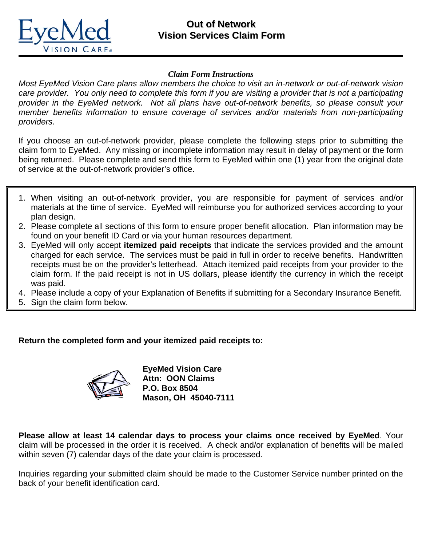

### *Claim Form Instructions*

*Most EyeMed Vision Care plans allow members the choice to visit an in-network or out-of-network vision care provider. You only need to complete this form if you are visiting a provider that is not a participating provider in the EyeMed network. Not all plans have out-of-network benefits, so please consult your member benefits information to ensure coverage of services and/or materials from non-participating providers.* 

If you choose an out-of-network provider, please complete the following steps prior to submitting the claim form to EyeMed. Any missing or incomplete information may result in delay of payment or the form being returned. Please complete and send this form to EyeMed within one (1) year from the original date of service at the out-of-network provider's office.

- 1. When visiting an out-of-network provider, you are responsible for payment of services and/or materials at the time of service. EyeMed will reimburse you for authorized services according to your plan design.
- 2. Please complete all sections of this form to ensure proper benefit allocation. Plan information may be found on your benefit ID Card or via your human resources department.
- 3. EyeMed will only accept **itemized paid receipts** that indicate the services provided and the amount charged for each service. The services must be paid in full in order to receive benefits. Handwritten receipts must be on the provider's letterhead. Attach itemized paid receipts from your provider to the claim form. If the paid receipt is not in US dollars, please identify the currency in which the receipt was paid.
- 4. Please include a copy of your Explanation of Benefits if submitting for a Secondary Insurance Benefit.
- 5. Sign the claim form below.

## **Return the completed form and your itemized paid receipts to:**



**EyeMed Vision Care Attn: OON Claims P.O. Box 8504 Mason, OH 45040-7111** 

**Please allow at least 14 calendar days to process your claims once received by EyeMed**. Your claim will be processed in the order it is received. A check and/or explanation of benefits will be mailed within seven (7) calendar days of the date your claim is processed.

Inquiries regarding your submitted claim should be made to the Customer Service number printed on the back of your benefit identification card.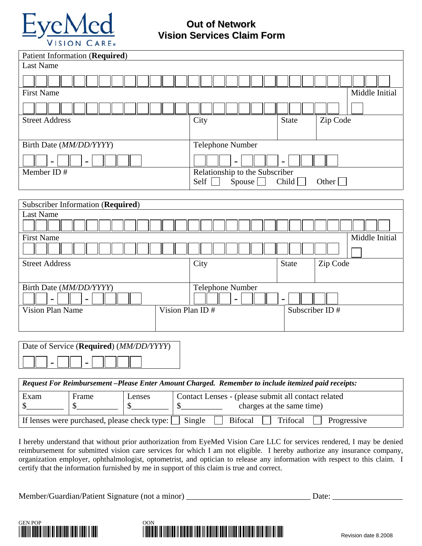

# **Out of Network Vision Services Claim Form**

| <b>Patient Information (Required)</b><br><b>Last Name</b>                                           |                                                                        |    |                                  |                                  |                |                          |  |  |                |
|-----------------------------------------------------------------------------------------------------|------------------------------------------------------------------------|----|----------------------------------|----------------------------------|----------------|--------------------------|--|--|----------------|
|                                                                                                     |                                                                        |    |                                  |                                  |                |                          |  |  |                |
|                                                                                                     |                                                                        |    |                                  |                                  |                |                          |  |  |                |
| <b>First Name</b>                                                                                   |                                                                        |    |                                  |                                  |                |                          |  |  | Middle Initial |
|                                                                                                     |                                                                        |    |                                  |                                  |                |                          |  |  |                |
| <b>Street Address</b>                                                                               |                                                                        |    | City<br><b>State</b><br>Zip Code |                                  |                |                          |  |  |                |
|                                                                                                     |                                                                        |    |                                  |                                  |                |                          |  |  |                |
| Birth Date (MM/DD/YYYY)                                                                             |                                                                        |    |                                  | Telephone Number                 |                |                          |  |  |                |
| $\qquad \qquad \blacksquare$                                                                        |                                                                        |    |                                  |                                  |                |                          |  |  |                |
| Member ID#<br>Relationship to the Subscriber                                                        |                                                                        |    |                                  |                                  |                |                          |  |  |                |
|                                                                                                     |                                                                        |    |                                  | Self<br>Spouse<br>Child<br>Other |                |                          |  |  |                |
|                                                                                                     |                                                                        |    |                                  |                                  |                |                          |  |  |                |
| Subscriber Information (Required)                                                                   |                                                                        |    |                                  |                                  |                |                          |  |  |                |
| <b>Last Name</b>                                                                                    |                                                                        |    |                                  |                                  |                |                          |  |  |                |
| <b>First Name</b><br>Middle Initial                                                                 |                                                                        |    |                                  |                                  |                |                          |  |  |                |
|                                                                                                     |                                                                        |    |                                  |                                  |                |                          |  |  |                |
| <b>Street Address</b>                                                                               |                                                                        |    | City                             |                                  |                | Zip Code<br><b>State</b> |  |  |                |
|                                                                                                     |                                                                        |    |                                  |                                  |                |                          |  |  |                |
| Birth Date (MM/DD/YYYY)<br>Telephone Number                                                         |                                                                        |    |                                  |                                  |                |                          |  |  |                |
|                                                                                                     |                                                                        |    |                                  |                                  |                |                          |  |  |                |
| <b>Vision Plan Name</b>                                                                             | Vision Plan ID#                                                        |    |                                  |                                  | Subscriber ID# |                          |  |  |                |
|                                                                                                     |                                                                        |    |                                  |                                  |                |                          |  |  |                |
|                                                                                                     |                                                                        |    |                                  |                                  |                |                          |  |  |                |
| Date of Service (Required) (MM/DD/YYYY)                                                             |                                                                        |    |                                  |                                  |                |                          |  |  |                |
|                                                                                                     |                                                                        |    |                                  |                                  |                |                          |  |  |                |
|                                                                                                     |                                                                        |    |                                  |                                  |                |                          |  |  |                |
| Request For Reimbursement-Please Enter Amount Charged. Remember to include itemized paid receipts:  |                                                                        |    |                                  |                                  |                |                          |  |  |                |
| Exam                                                                                                | Contact Lenses - (please submit all contact related<br>Frame<br>Lenses |    |                                  |                                  |                |                          |  |  |                |
| \$.                                                                                                 | \$                                                                     | \$ | $\mathcal{S}_{1}$                | charges at the same time)        |                |                          |  |  |                |
| If lenses were purchased, please check type:<br>Single<br><b>Bifocal</b><br>Trifocal<br>Progressive |                                                                        |    |                                  |                                  |                |                          |  |  |                |

I hereby understand that without prior authorization from EyeMed Vision Care LLC for services rendered, I may be denied reimbursement for submitted vision care services for which I am not eligible. I hereby authorize any insurance company, organization employer, ophthalmologist, optometrist, and optician to release any information with respect to this claim. I certify that the information furnished by me in support of this claim is true and correct.

Member/Guardian/Patient Signature (not a minor) \_\_\_\_\_\_\_\_\_\_\_\_\_\_\_\_\_\_\_\_\_\_\_\_\_\_\_\_\_\_ Date: \_\_\_\_\_\_\_\_\_\_\_\_\_\_\_\_\_